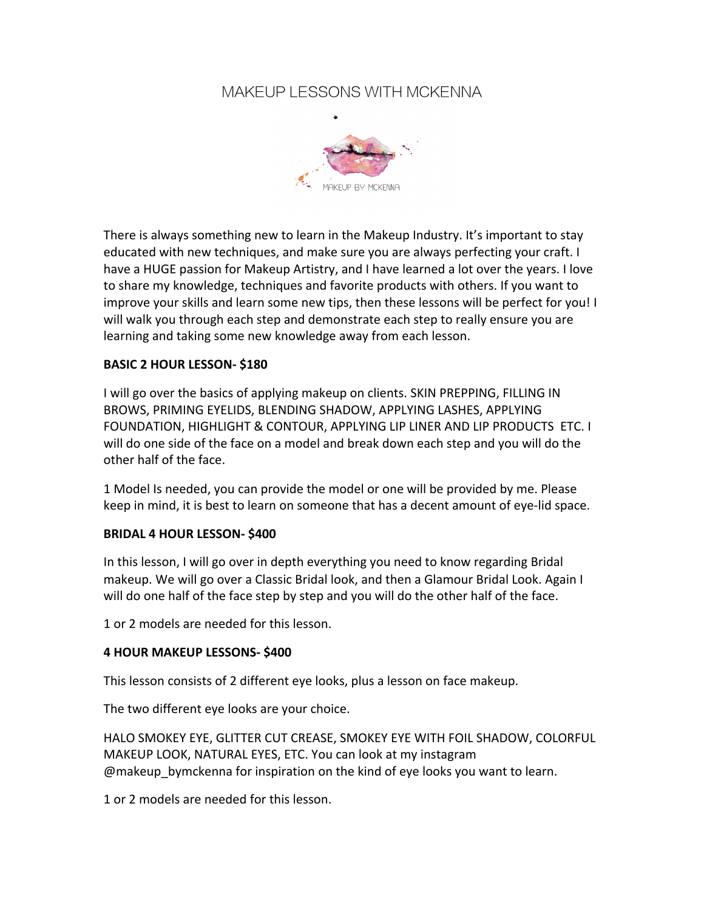## MAKEUP LESSONS WITH MCKENNA



There is always something new to learn in the Makeup Industry. It's important to stay educated with new techniques, and make sure you are always perfecting your craft. I have a HUGE passion for Makeup Artistry, and I have learned a lot over the years. I love to share my knowledge, techniques and favorite products with others. If you want to improve your skills and learn some new tips, then these lessons will be perfect for you! I will walk you through each step and demonstrate each step to really ensure you are learning and taking some new knowledge away from each lesson.

#### **BASIC 2 HOUR LESSON- \$180**

I will go over the basics of applying makeup on clients. SKIN PREPPING, FILLING IN BROWS, PRIMING EYELIDS, BLENDING SHADOW, APPLYING LASHES, APPLYING FOUNDATION, HIGHLIGHT & CONTOUR, APPLYING LIP LINER AND LIP PRODUCTS ETC. I will do one side of the face on a model and break down each step and you will do the other half of the face.

1 Model Is needed, you can provide the model or one will be provided by me. Please keep in mind, it is best to learn on someone that has a decent amount of eye-lid space.

#### **BRIDAL 4 HOUR LESSON- \$400**

In this lesson, I will go over in depth everything you need to know regarding Bridal makeup. We will go over a Classic Bridal look, and then a Glamour Bridal Look. Again I will do one half of the face step by step and you will do the other half of the face.

1 or 2 models are needed for this lesson.

#### **4 HOUR MAKEUP LESSONS- \$400**

This lesson consists of 2 different eye looks, plus a lesson on face makeup.

The two different eye looks are your choice.

HALO SMOKEY EYE, GLITTER CUT CREASE, SMOKEY EYE WITH FOIL SHADOW, COLORFUL MAKEUP LOOK, NATURAL EYES, ETC. You can look at my instagram @makeup bymckenna for inspiration on the kind of eye looks you want to learn.

1 or 2 models are needed for this lesson.